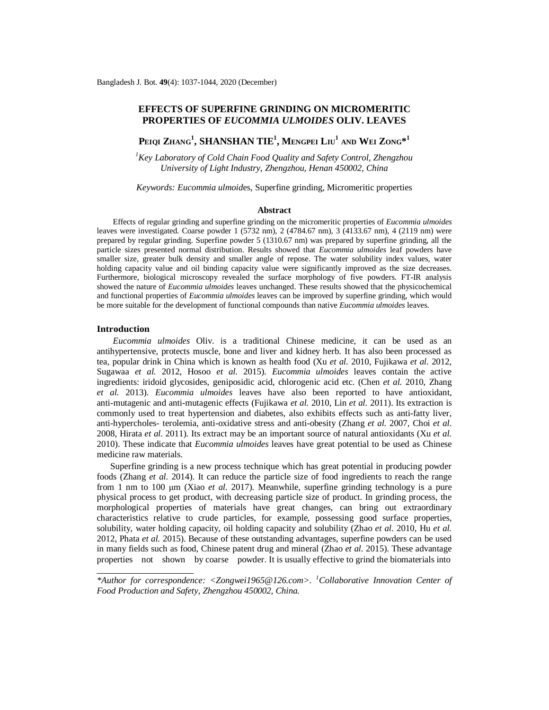# **EFFECTS OF SUPERFINE GRINDING ON MICROMERITIC PROPERTIES OF** *EUCOMMIA ULMOIDES* **OLIV. LEAVES**

**PEIQI ZHANG<sup>1</sup> , SHANSHAN TIE<sup>1</sup> , MENGPEI LIU<sup>1</sup> AND WEI ZONG\* 1**

*<sup>1</sup>Key Laboratory of Cold Chain Food Quality and Safety Control, Zhengzhou University of Light Industry, Zhengzhou, Henan 450002, China*

*Keywords: Eucommia ulmoid*es, Superfine grinding, Micromeritic properties

#### **Abstract**

Effects of regular grinding and superfine grinding on the micromeritic properties of *Eucommia ulmoides* leaves were investigated. Coarse powder 1 (5732 nm), 2 (4784.67 nm), 3 (4133.67 nm), 4 (2119 nm) were prepared by regular grinding. Superfine powder 5 (1310.67 nm) was prepared by superfine grinding, all the particle sizes presented normal distribution. Results showed that *Eucommia ulmoides* leaf powders have smaller size, greater bulk density and smaller angle of repose. The water solubility index values, water holding capacity value and oil binding capacity value were significantly improved as the size decreases. Furthermore, biological microscopy revealed the surface morphology of five powders. FT-IR analysis showed the nature of *Eucommia ulmoides* leaves unchanged. These results showed that the physicochemical and functional properties of *Eucommia ulmoides* leaves can be improved by superfine grinding, which would be more suitable for the development of functional compounds than native *Eucommia ulmoides* leaves.

#### **Introduction**

*Eucommia ulmoides* Oliv. is a traditional Chinese medicine, it can be used as an antihypertensive, protects muscle, bone and liver and kidney herb. It has also been processed as tea, popular drink in China which is known as health food (Xu *et al.* 2010, Fujikawa *et al.* 2012, Sugawaa *et al.* 2012, Hosoo *et al.* 2015). *Eucommia ulmoides* leaves contain the active ingredients: iridoid glycosides, geniposidic acid, chlorogenic acid etc. (Chen *et al.* 2010, Zhang *et al.* 2013). *Eucommia ulmoides* leaves have also been reported to have antioxidant, anti-mutagenic and anti-mutagenic effects (Fujikawa *et al.* 2010, Lin *et al.* 2011). Its extraction is commonly used to treat hypertension and diabetes, also exhibits effects such as anti-fatty liver, anti-hypercholes- terolemia, anti-oxidative stress and anti-obesity (Zhang *et al.* 2007, Choi *et al.*  2008, Hirata *et al.* 2011). Its extract may be an important source of natural antioxidants (Xu *et al.*  2010). These indicate that *Eucommia ulmoides* leaves have great potential to be used as Chinese medicine raw materials.

 Superfine grinding is a new process technique which has great potential in producing powder foods (Zhang *et al.* 2014). It can reduce the particle size of food ingredients to reach the range from 1 nm to 100 μm (Xiao *et al.* 2017). Meanwhile, superfine grinding technology is a pure physical process to get product, with decreasing particle size of product. In grinding process, the morphological properties of materials have great changes, can bring out extraordinary characteristics relative to crude particles, for example, possessing good surface properties, solubility, water holding capacity, oil holding capacity and solubility (Zhao *et al.* 2010, Hu *et al.*  2012, Phata *et al.* 2015). Because of these outstanding advantages, superfine powders can be used in many fields such as food, Chinese patent drug and mineral (Zhao *et al.* 2015). These advantage properties not shown by coarse powder. It is usually effective to grind the biomaterials into

*<sup>\*</sup>Author for correspondence: <[Zongwei1965@126.com>](mailto:Zongwei1965@126.com). <sup>1</sup>Collaborative Innovation Center of Food Production and Safety, Zhengzhou 450002, China.*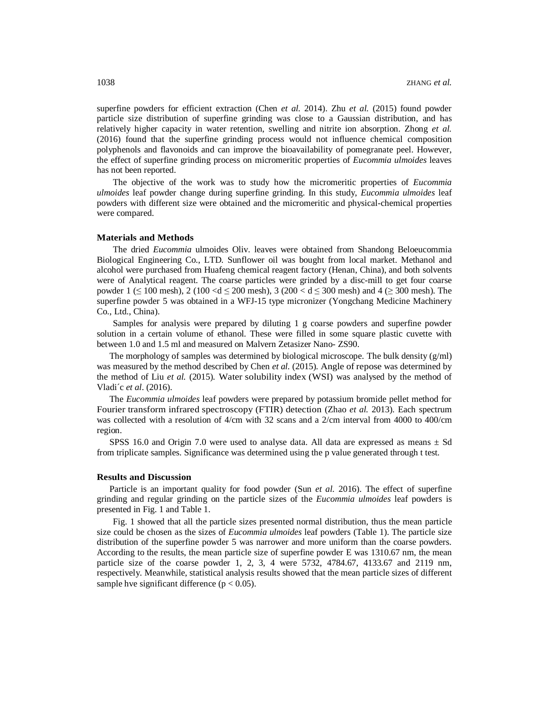superfine powders for efficient extraction (Chen *et al.* 2014). Zhu *et al.* (2015) found powder particle size distribution of superfine grinding was close to a Gaussian distribution, and has relatively higher capacity in water retention, swelling and nitrite ion absorption. Zhong *et al.* (2016) found that the superfine grinding process would not influence chemical composition polyphenols and flavonoids and can improve the bioavailability of pomegranate peel. However, the effect of superfine grinding process on micromeritic properties of *Eucommia ulmoides* leaves has not been reported.

The objective of the work was to study how the micromeritic properties of *Eucommia ulmoides* leaf powder change during superfine grinding. In this study, *Eucommia ulmoides* leaf powders with different size were obtained and the micromeritic and physical-chemical properties were compared.

# **Materials and Methods**

The dried *Eucommia* ulmoides Oliv. leaves were obtained from Shandong Beloeucommia Biological Engineering Co., LTD. Sunflower oil was bought from local market. Methanol and alcohol were purchased from Huafeng chemical reagent factory (Henan, China), and both solvents were of Analytical reagent. The coarse particles were grinded by a disc-mill to get four coarse powder  $1 \le 100$  mesh),  $2 (100 < d \le 200$  mesh),  $3 (200 < d \le 300$  mesh) and  $4 (2 300$  mesh). The superfine powder 5 was obtained in a WFJ-15 type micronizer (Yongchang Medicine Machinery Co., Ltd., China).

Samples for analysis were prepared by diluting 1 g coarse powders and superfine powder solution in a certain volume of ethanol. These were filled in some square plastic cuvette with between 1.0 and 1.5 ml and measured on Malvern Zetasizer Nano- ZS90.

The morphology of samples was determined by biological microscope. The bulk density  $(g/ml)$ was measured by the method described by Chen *et al.* (2015). Angle of repose was determined by the method of Liu *et al.* (2015). Water solubility index (WSI) was analysed by the method of Vladi´c *et al*. (2016).

The *Eucommia ulmoides* leaf powders were prepared by potassium bromide pellet method for Fourier transform infrared spectroscopy (FTIR) detection (Zhao *et al.* 2013). Each spectrum was collected with a resolution of 4/cm with 32 scans and a 2/cm interval from 4000 to 400/cm region.

SPSS 16.0 and Origin 7.0 were used to analyse data. All data are expressed as means  $\pm$  Sd from triplicate samples. Significance was determined using the p value generated through t test.

#### **Results and Discussion**

Particle is an important quality for food powder (Sun *et al.* 2016). The effect of superfine grinding and regular grinding on the particle sizes of the *Eucommia ulmoides* leaf powders is presented in Fig. 1 and Table 1.

Fig. 1 showed that all the particle sizes presented normal distribution, thus the mean particle size could be chosen as the sizes of *Eucommia ulmoides* leaf powders (Table 1). The particle size distribution of the superfine powder 5 was narrower and more uniform than the coarse powders. According to the results, the mean particle size of superfine powder E was 1310.67 nm, the mean particle size of the coarse powder 1, 2, 3, 4 were 5732, 4784.67, 4133.67 and 2119 nm, respectively. Meanwhile, statistical analysis results showed that the mean particle sizes of different sample hve significant difference ( $p < 0.05$ ).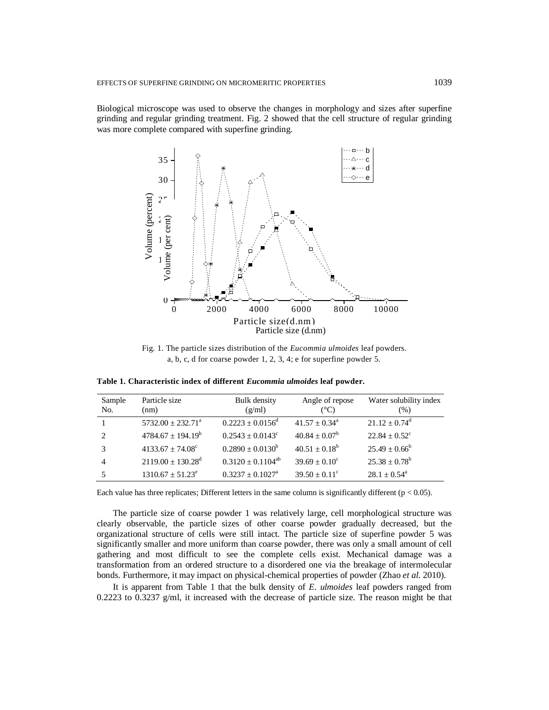Biological microscope was used to observe the changes in morphology and sizes after superfine grinding and regular grinding treatment. Fig. 2 showed that the cell structure of regular grinding was more complete compared with superfine grinding.



Fig. 1. The particle sizes distribution of the *Eucommia ulmoides* leaf powders. a, b, c, d for coarse powder 1, 2, 3, 4; e for superfine powder 5.

| Sample<br>No.  | Particle size<br>(nm)             | Bulk density<br>(g/ml)         | Angle of repose<br>(°C)  | Water solubility index<br>$(\%)$ |
|----------------|-----------------------------------|--------------------------------|--------------------------|----------------------------------|
|                | $5732.00 + 232.71^{\circ}$        | $0.2223 \pm 0.0156^d$          | $41.57 + 0.34^a$         | $21.12 + 0.74^d$                 |
| $\mathfrak{D}$ | $4784.67 \pm 194.19^b$            | $0.2543 + 0.0143^{\circ}$      | $40.84 \pm 0.07^{\rm b}$ | $22.84 + 0.52^{\circ}$           |
| 3              | $4133.67 + 74.08^{\circ}$         | $0.2890 + 0.0130^b$            | $40.51 \pm 0.18^b$       | $25.49 \pm 0.66^b$               |
| 4              | $2119.00 \pm 130.28$ <sup>d</sup> | $0.3120 \pm 0.1104^{ab}$       | $39.69 + 0.10^{\circ}$   | $25.38 \pm 0.78^b$               |
|                | $1310.67 \pm 51.23^e$             | $0.3237 \pm 0.1027^{\text{a}}$ | $39.50 \pm 0.11^{\circ}$ | $28.1 \pm 0.54^{\circ}$          |

**Table 1. Characteristic index of different** *Eucommia ulmoides* **leaf powder.**

Each value has three replicates; Different letters in the same column is significantly different ( $p < 0.05$ ).

The particle size of coarse powder 1 was relatively large, cell morphological structure was clearly observable, the particle sizes of other coarse powder gradually decreased, but the organizational structure of cells were still intact. The particle size of superfine powder 5 was significantly smaller and more uniform than coarse powder, there was only a small amount of cell gathering and most difficult to see the complete cells exist. Mechanical damage was a transformation from an ordered structure to a disordered one via the breakage of intermolecular bonds. Furthermore, it may impact on physical-chemical properties of powder (Zhao *et al.* 2010).

It is apparent from Table 1 that the bulk density of *E. ulmoides* leaf powders ranged from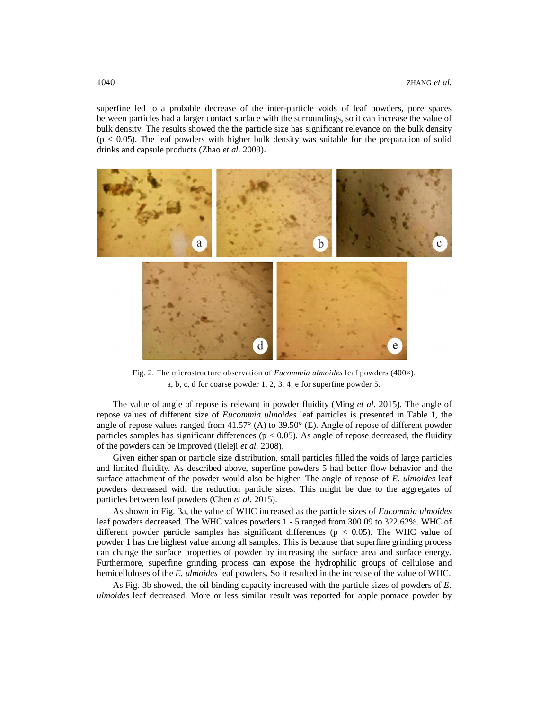superfine led to a probable decrease of the inter-particle voids of leaf powders, pore spaces between particles had a larger contact surface with the surroundings, so it can increase the value of bulk density. The results showed the the particle size has significant relevance on the bulk density  $(p < 0.05)$ . The leaf powders with higher bulk density was suitable for the preparation of solid drinks and capsule products (Zhao *et al.* 2009).



Fig. 2. The microstructure observation of *Eucommia ulmoides* leaf powders (400×). a, b, c, d for coarse powder 1, 2, 3, 4; e for superfine powder 5.

The value of angle of repose is relevant in powder fluidity (Ming *et al.* 2015). The angle of repose values of different size of *Eucommia ulmoides* leaf particles is presented in Table 1, the angle of repose values ranged from 41.57° (A) to 39.50° (E). Angle of repose of different powder particles samples has significant differences ( $p < 0.05$ ). As angle of repose decreased, the fluidity of the powders can be improved (Ileleji *et al.* 2008).

Given either span or particle size distribution, small particles filled the voids of large particles and limited fluidity. As described above, superfine powders 5 had better flow behavior and the surface attachment of the powder would also be higher. The angle of repose of *E. ulmoides* leaf powders decreased with the reduction particle sizes. This might be due to the aggregates of particles between leaf powders (Chen *et al.* 2015).

As shown in Fig. 3a, the value of WHC increased as the particle sizes of *Eucommia ulmoides* leaf powders decreased. The WHC values powders 1 - 5 ranged from 300.09 to 322.62%. WHC of different powder particle samples has significant differences ( $p < 0.05$ ). The WHC value of powder 1 has the highest value among all samples. This is because that superfine grinding process can change the surface properties of powder by increasing the surface area and surface energy. Furthermore, superfine grinding process can expose the hydrophilic groups of cellulose and hemicelluloses of the *E. ulmoides* leaf powders. So it resulted in the increase of the value of WHC.

As Fig. 3b showed, the oil binding capacity increased with the particle sizes of powders of *E. ulmoides* leaf decreased. More or less similar result was reported for apple pomace powder by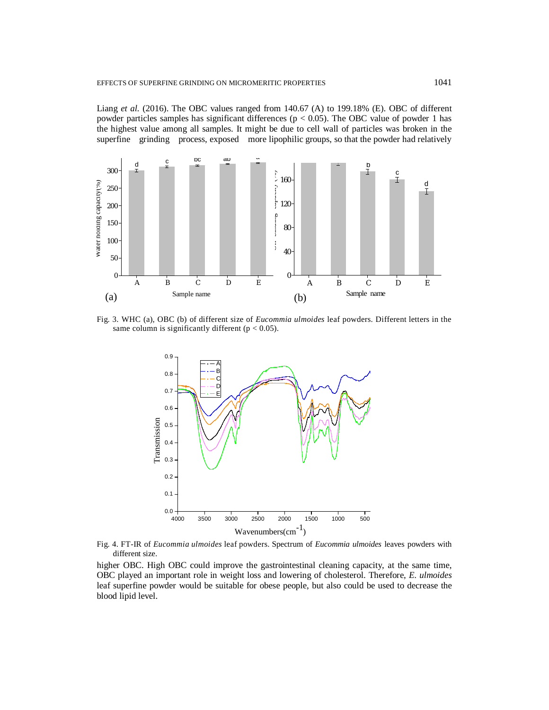Liang *et al.* (2016). The OBC values ranged from 140.67 (A) to 199.18% (E). OBC of different powder particles samples has significant differences ( $p < 0.05$ ). The OBC value of powder 1 has the highest value among all samples. It might be due to cell wall of particles was broken in the superfine grinding process, exposed more lipophilic groups, so that the powder had relatively



Fig. 3. WHC (a), OBC (b) of different size of *Eucommia ulmoides* leaf powders. Different letters in the same column is significantly different ( $p < 0.05$ ).



Fig. 4. FT-IR of *Eucommia ulmoides* leaf powders. Spectrum of *Eucommia ulmoides* leaves powders with different size.

higher OBC. High OBC could improve the gastrointestinal cleaning capacity, at the same time, OBC played an important role in weight loss and lowering of cholesterol. Therefore, *E. ulmoides* leaf superfine powder would be suitable for obese people, but also could be used to decrease the blood lipid level.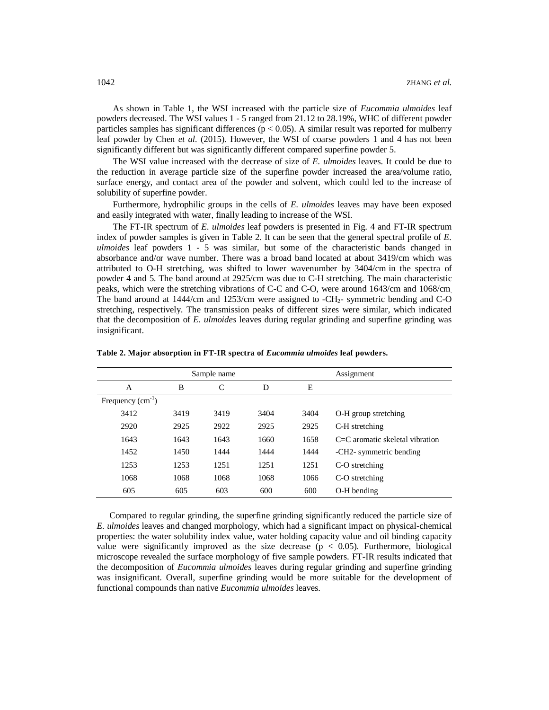As shown in Table 1, the WSI increased with the particle size of *Eucommia ulmoides* leaf powders decreased. The WSI values 1 - 5 ranged from 21.12 to 28.19%, WHC of different powder particles samples has significant differences ( $p < 0.05$ ). A similar result was reported for mulberry leaf powder by Chen *et al.* (2015). However, the WSI of coarse powders 1 and 4 has not been significantly different but was significantly different compared superfine powder 5.

The WSI value increased with the decrease of size of *E. ulmoides* leaves. It could be due to the reduction in average particle size of the superfine powder increased the area/volume ratio, surface energy, and contact area of the powder and solvent, which could led to the increase of solubility of superfine powder.

Furthermore, hydrophilic groups in the cells of *E. ulmoides* leaves may have been exposed and easily integrated with water, finally leading to increase of the WSI.

The FT-IR spectrum of *E. ulmoides* leaf powders is presented in Fig. 4 and FT-IR spectrum index of powder samples is given in Table 2. It can be seen that the general spectral profile of *E*. *ulmoides* leaf powders 1 - 5 was similar, but some of the characteristic bands changed in absorbance and/or wave number. There was a broad band located at about 3419/cm which was attributed to O-H stretching, was shifted to lower wavenumber by 3404/cm in the spectra of powder 4 and 5. The band around at 2925/cm was due to C-H stretching. The main characteristic peaks, which were the stretching vibrations of C-C and C-O, were around 1643/cm and 1068/cm. The band around at  $1444$ /cm and  $1253$ /cm were assigned to  $-CH<sub>2</sub>$ - symmetric bending and C-O stretching, respectively. The transmission peaks of different sizes were similar, which indicated that the decomposition of *E. ulmoides* leaves during regular grinding and superfine grinding was insignificant.

| Sample name        |      |      |      | Assignment |                                     |
|--------------------|------|------|------|------------|-------------------------------------|
| A                  | B    | C    | D    | E          |                                     |
| Frequency $(cm-1)$ |      |      |      |            |                                     |
| 3412               | 3419 | 3419 | 3404 | 3404       | O-H group stretching                |
| 2920               | 2925 | 2922 | 2925 | 2925       | C-H stretching                      |
| 1643               | 1643 | 1643 | 1660 | 1658       | $C = C$ aromatic skeletal vibration |
| 1452               | 1450 | 1444 | 1444 | 1444       | -CH2- symmetric bending             |
| 1253               | 1253 | 1251 | 1251 | 1251       | C-O stretching                      |
| 1068               | 1068 | 1068 | 1068 | 1066       | C-O stretching                      |
| 605                | 605  | 603  | 600  | 600        | O-H bending                         |
|                    |      |      |      |            |                                     |

**Table 2. Major absorption in FT-IR spectra of** *Eucommia ulmoides* **leaf powders.**

Compared to regular grinding, the superfine grinding significantly reduced the particle size of *E. ulmoides* leaves and changed morphology, which had a significant impact on physical-chemical properties: the water solubility index value, water holding capacity value and oil binding capacity value were significantly improved as the size decrease ( $p < 0.05$ ). Furthermore, biological microscope revealed the surface morphology of five sample powders. FT-IR results indicated that the decomposition of *Eucommia ulmoides* leaves during regular grinding and superfine grinding was insignificant. Overall, superfine grinding would be more suitable for the development of functional compounds than native *Eucommia ulmoides* leaves.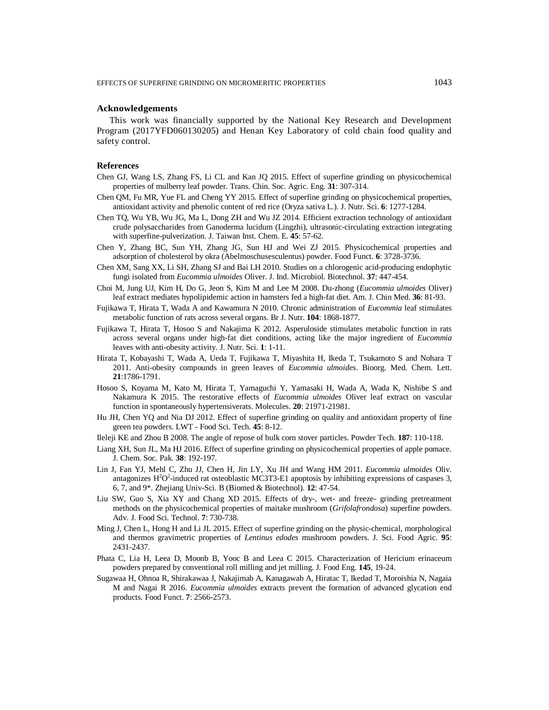# **Acknowledgements**

This work was financially supported by the National Key Research and Development Program (2017YFD060130205) and Henan Key Laboratory of cold chain food quality and safety control.

### **References**

- Chen GJ, Wang LS, Zhang FS, Li CL and Kan JQ 2015. Effect of superfine grinding on physicochemical properties of mulberry leaf powder. Trans. Chin. Soc. Agric. Eng. **31**: 307-314.
- Chen QM, Fu MR, Yue FL and Cheng YY 2015. Effect of superfine grinding on physicochemical properties, antioxidant activity and phenolic content of red rice (Oryza sativa L.). J. Nutr. Sci. **6**: 1277-1284.
- Chen TQ, Wu YB, Wu JG, Ma L, Dong ZH and Wu JZ 2014. Efficient extraction technology of antioxidant crude polysaccharides from Ganoderma lucidum (Lingzhi), ultrasonic-circulating extraction integrating with superfine-pulverization. J. Taiwan Inst. Chem. E. **45**: 57-62.
- Chen Y, Zhang BC, Sun YH, Zhang JG, Sun HJ and Wei ZJ 2015. Physicochemical properties and adsorption of cholesterol by okra (Abelmoschusesculentus) powder. Food Funct. **6**: 3728-3736.
- Chen XM, Sang XX, Li SH, Zhang SJ and Bai LH 2010. Studies on a chlorogenic acid-producing endophytic fungi isolated from *Eucommia ulmoides* Oliver. J. Ind. Microbiol. Biotechnol. **37**: 447-454.
- Choi M, Jung UJ, Kim H, Do G, Jeon S, Kim M and Lee M 2008. Du-zhong (*Eucommia ulmoides* Oliver) leaf extract mediates hypolipidemic action in hamsters fed a high-fat diet. Am. J. Chin Med. **36**: 81-93.
- Fujikawa T, Hirata T, Wada A and Kawamura N 2010. Chronic administration of *Eucommia* leaf stimulates metabolic function of rats across several organs. Br J. Nutr. **104**: 1868-1877.
- Fujikawa T, Hirata T, Hosoo S and Nakajima K 2012. Asperuloside stimulates metabolic function in rats across several organs under high-fat diet conditions, acting like the major ingredient of *Eucommia* leaves with anti-obesity activity. J. Nutr. Sci. **1**: 1-11.
- Hirata T, Kobayashi T, Wada A, Ueda T, Fujikawa T, Miyashita H, Ikeda T, Tsukamoto S and Nohara T 2011. Anti-obesity compounds in green leaves of *Eucommia ulmoides*. Bioorg. Med. Chem. Lett. **21**:1786-1791.
- Hosoo S, Koyama M, Kato M, Hirata T, Yamaguchi Y, Yamasaki H, Wada A, Wada K, Nishibe S and Nakamura K 2015. The restorative effects of *Eucommia ulmoides* Oliver leaf extract on vascular function in spontaneously hypertensiverats. Molecules. **20**: 21971-21981.
- Hu JH, Chen YQ and Nia DJ 2012. Effect of superfine grinding on quality and antioxidant property of fine green tea powders. LWT - Food Sci. Tech. **45**: 8-12.
- Ileleji KE and Zhou B 2008. The angle of repose of bulk corn stover particles. Powder Tech. **187**: 110-118.
- Liang XH, Sun JL, Ma HJ 2016. Effect of superfine grinding on physicochemical properties of apple pomace. J. Chem. Soc. Pak. **38**: 192-197.
- Lin J, Fan YJ, Mehl C, Zhu JJ, Chen H, Jin LY, Xu JH and Wang HM 2011. *Eucommia ulmoides* Oliv. antagonizes  $H^2O^2$ -induced rat osteoblastic MC3T3-E1 apoptosis by inhibiting expressions of caspases 3, 6, 7, and 9\*. Zhejiang Univ-Sci. B (Biomed & Biotechnol). **12**: 47-54.
- Liu SW, Guo S, Xia XY and Chang XD 2015. Effects of dry-, wet- and freeze- grinding pretreatment methods on the physicochemical properties of maitake mushroom (*Grifolafrondosa*) superfine powders. Adv. J. Food Sci. Technol. **7**: 730-738.
- Ming J, Chen L, Hong H and Li JL 2015. Effect of superfine grinding on the physic-chemical, morphological and thermos gravimetric properties of *Lentinus edodes* mushroom powders. J. Sci. Food Agric. **95**: 2431-2437.
- Phata C, Lia H, Leea D, Moonb B, Yooc B and Leea C 2015. Characterization of Hericium erinaceum powders prepared by conventional roll milling and jet milling. J. Food Eng. **145**, 19-24.
- Sugawaa H, Ohnoa R, Shirakawaa J, Nakajimab A, Kanagawab A, Hiratac T, Ikedad T, Moroishia N, Nagaia M and Nagai R 2016. *Eucommia ulmoides* extracts prevent the formation of advanced glycation end products. Food Funct. **7**: 2566-2573.